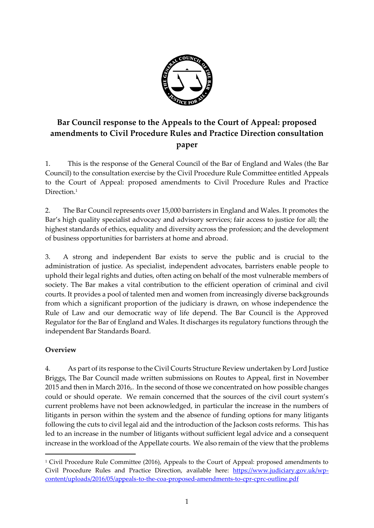

# **Bar Council response to the Appeals to the Court of Appeal: proposed amendments to Civil Procedure Rules and Practice Direction consultation paper**

1. This is the response of the General Council of the Bar of England and Wales (the Bar Council) to the consultation exercise by the Civil Procedure Rule Committee entitled Appeals to the Court of Appeal: proposed amendments to Civil Procedure Rules and Practice Direction.<sup>1</sup>

2. The Bar Council represents over 15,000 barristers in England and Wales. It promotes the Bar's high quality specialist advocacy and advisory services; fair access to justice for all; the highest standards of ethics, equality and diversity across the profession; and the development of business opportunities for barristers at home and abroad.

3. A strong and independent Bar exists to serve the public and is crucial to the administration of justice. As specialist, independent advocates, barristers enable people to uphold their legal rights and duties, often acting on behalf of the most vulnerable members of society. The Bar makes a vital contribution to the efficient operation of criminal and civil courts. It provides a pool of talented men and women from increasingly diverse backgrounds from which a significant proportion of the judiciary is drawn, on whose independence the Rule of Law and our democratic way of life depend. The Bar Council is the Approved Regulator for the Bar of England and Wales. It discharges its regulatory functions through the independent Bar Standards Board.

# **Overview**

 $\overline{a}$ 

4. As part of its response to the Civil Courts Structure Review undertaken by Lord Justice Briggs, The Bar Council made written submissions on Routes to Appeal, first in November 2015 and then in March 2016,. In the second of those we concentrated on how possible changes could or should operate. We remain concerned that the sources of the civil court system's current problems have not been acknowledged, in particular the increase in the numbers of litigants in person within the system and the absence of funding options for many litigants following the cuts to civil legal aid and the introduction of the Jackson costs reforms. This has led to an increase in the number of litigants without sufficient legal advice and a consequent increase in the workload of the Appellate courts. We also remain of the view that the problems

<sup>1</sup> Civil Procedure Rule Committee (2016), Appeals to the Court of Appeal: proposed amendments to Civil Procedure Rules and Practice Direction, available here: [https://www.judiciary.gov.uk/wp](https://www.judiciary.gov.uk/wp-content/uploads/2016/05/appeals-to-the-coa-proposed-amendments-to-cpr-cprc-outline.pdf)[content/uploads/2016/05/appeals-to-the-coa-proposed-amendments-to-cpr-cprc-outline.pdf](https://www.judiciary.gov.uk/wp-content/uploads/2016/05/appeals-to-the-coa-proposed-amendments-to-cpr-cprc-outline.pdf)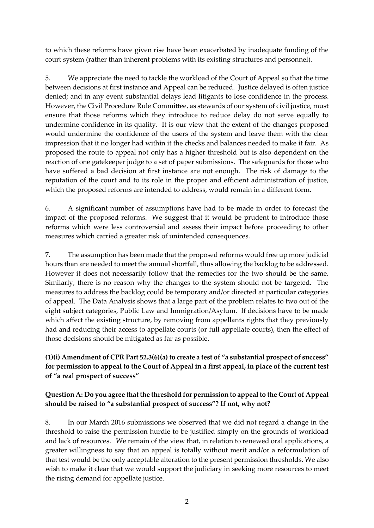to which these reforms have given rise have been exacerbated by inadequate funding of the court system (rather than inherent problems with its existing structures and personnel).

5. We appreciate the need to tackle the workload of the Court of Appeal so that the time between decisions at first instance and Appeal can be reduced. Justice delayed is often justice denied; and in any event substantial delays lead litigants to lose confidence in the process. However, the Civil Procedure Rule Committee, as stewards of our system of civil justice, must ensure that those reforms which they introduce to reduce delay do not serve equally to undermine confidence in its quality. It is our view that the extent of the changes proposed would undermine the confidence of the users of the system and leave them with the clear impression that it no longer had within it the checks and balances needed to make it fair. As proposed the route to appeal not only has a higher threshold but is also dependent on the reaction of one gatekeeper judge to a set of paper submissions. The safeguards for those who have suffered a bad decision at first instance are not enough. The risk of damage to the reputation of the court and to its role in the proper and efficient administration of justice, which the proposed reforms are intended to address, would remain in a different form.

6. A significant number of assumptions have had to be made in order to forecast the impact of the proposed reforms. We suggest that it would be prudent to introduce those reforms which were less controversial and assess their impact before proceeding to other measures which carried a greater risk of unintended consequences.

7. The assumption has been made that the proposed reforms would free up more judicial hours than are needed to meet the annual shortfall, thus allowing the backlog to be addressed. However it does not necessarily follow that the remedies for the two should be the same. Similarly, there is no reason why the changes to the system should not be targeted. The measures to address the backlog could be temporary and/or directed at particular categories of appeal. The Data Analysis shows that a large part of the problem relates to two out of the eight subject categories, Public Law and Immigration/Asylum. If decisions have to be made which affect the existing structure, by removing from appellants rights that they previously had and reducing their access to appellate courts (or full appellate courts), then the effect of those decisions should be mitigated as far as possible.

# **(1)(i) Amendment of CPR Part 52.3(6)(a) to create a test of "a substantial prospect of success" for permission to appeal to the Court of Appeal in a first appeal, in place of the current test of "a real prospect of success"**

# **Question A: Do you agree that the threshold for permission to appeal to the Court of Appeal should be raised to "a substantial prospect of success"? If not, why not?**

8. In our March 2016 submissions we observed that we did not regard a change in the threshold to raise the permission hurdle to be justified simply on the grounds of workload and lack of resources. We remain of the view that, in relation to renewed oral applications, a greater willingness to say that an appeal is totally without merit and/or a reformulation of that test would be the only acceptable alteration to the present permission thresholds. We also wish to make it clear that we would support the judiciary in seeking more resources to meet the rising demand for appellate justice.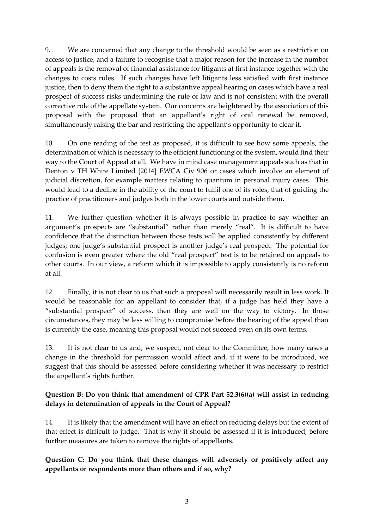9. We are concerned that any change to the threshold would be seen as a restriction on access to justice, and a failure to recognise that a major reason for the increase in the number of appeals is the removal of financial assistance for litigants at first instance together with the changes to costs rules. If such changes have left litigants less satisfied with first instance justice, then to deny them the right to a substantive appeal hearing on cases which have a real prospect of success risks undermining the rule of law and is not consistent with the overall corrective role of the appellate system. Our concerns are heightened by the association of this proposal with the proposal that an appellant's right of oral renewal be removed, simultaneously raising the bar and restricting the appellant's opportunity to clear it.

10. On one reading of the test as proposed, it is difficult to see how some appeals, the determination of which is necessary to the efficient functioning of the system, would find their way to the Court of Appeal at all. We have in mind case management appeals such as that in Denton v TH White Limited [2014] EWCA Civ 906 or cases which involve an element of judicial discretion, for example matters relating to quantum in personal injury cases. This would lead to a decline in the ability of the court to fulfil one of its roles, that of guiding the practice of practitioners and judges both in the lower courts and outside them.

11. We further question whether it is always possible in practice to say whether an argument's prospects are "substantial" rather than merely "real". It is difficult to have confidence that the distinction between those tests will be applied consistently by different judges; one judge's substantial prospect is another judge's real prospect. The potential for confusion is even greater where the old "real prospect" test is to be retained on appeals to other courts. In our view, a reform which it is impossible to apply consistently is no reform at all.

12. Finally, it is not clear to us that such a proposal will necessarily result in less work. It would be reasonable for an appellant to consider that, if a judge has held they have a "substantial prospect" of success, then they are well on the way to victory. In those circumstances, they may be less willing to compromise before the hearing of the appeal than is currently the case, meaning this proposal would not succeed even on its own terms.

13. It is not clear to us and, we suspect, not clear to the Committee, how many cases a change in the threshold for permission would affect and, if it were to be introduced, we suggest that this should be assessed before considering whether it was necessary to restrict the appellant's rights further.

# **Question B: Do you think that amendment of CPR Part 52.3(6)(a) will assist in reducing delays in determination of appeals in the Court of Appeal?**

14. It is likely that the amendment will have an effect on reducing delays but the extent of that effect is difficult to judge. That is why it should be assessed if it is introduced, before further measures are taken to remove the rights of appellants.

**Question C: Do you think that these changes will adversely or positively affect any appellants or respondents more than others and if so, why?**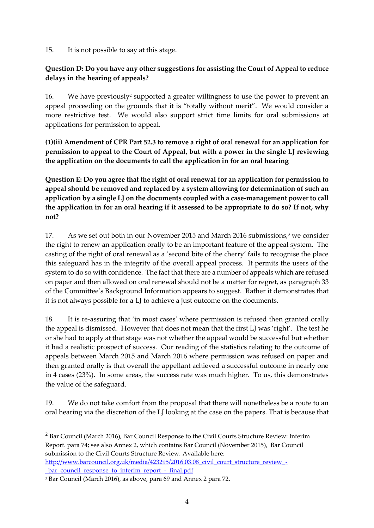15. It is not possible to say at this stage.

#### **Question D: Do you have any other suggestions for assisting the Court of Appeal to reduce delays in the hearing of appeals?**

16. We have previously<sup>2</sup> supported a greater willingness to use the power to prevent an appeal proceeding on the grounds that it is "totally without merit". We would consider a more restrictive test. We would also support strict time limits for oral submissions at applications for permission to appeal.

**(1)(ii) Amendment of CPR Part 52.3 to remove a right of oral renewal for an application for permission to appeal to the Court of Appeal, but with a power in the single LJ reviewing the application on the documents to call the application in for an oral hearing**

**Question E: Do you agree that the right of oral renewal for an application for permission to appeal should be removed and replaced by a system allowing for determination of such an application by a single LJ on the documents coupled with a case-management power to call the application in for an oral hearing if it assessed to be appropriate to do so? If not, why not?**

17. As we set out both in our November 2015 and March 2016 submissions,<sup>3</sup> we consider the right to renew an application orally to be an important feature of the appeal system. The casting of the right of oral renewal as a 'second bite of the cherry' fails to recognise the place this safeguard has in the integrity of the overall appeal process. It permits the users of the system to do so with confidence. The fact that there are a number of appeals which are refused on paper and then allowed on oral renewal should not be a matter for regret, as paragraph 33 of the Committee's Background Information appears to suggest. Rather it demonstrates that it is not always possible for a LJ to achieve a just outcome on the documents.

18. It is re-assuring that 'in most cases' where permission is refused then granted orally the appeal is dismissed. However that does not mean that the first LJ was 'right'. The test he or she had to apply at that stage was not whether the appeal would be successful but whether it had a realistic prospect of success. Our reading of the statistics relating to the outcome of appeals between March 2015 and March 2016 where permission was refused on paper and then granted orally is that overall the appellant achieved a successful outcome in nearly one in 4 cases (23%). In some areas, the success rate was much higher. To us, this demonstrates the value of the safeguard.

19. We do not take comfort from the proposal that there will nonetheless be a route to an oral hearing via the discretion of the LJ looking at the case on the papers. That is because that

<sup>2</sup> Bar Council (March 2016), Bar Council Response to the Civil Courts Structure Review: Interim Report. para 74; see also Annex 2, which contains Bar Council (November 2015), Bar Council submission to the Civil Courts Structure Review. Available here:

[http://www.barcouncil.org.uk/media/423295/2016.03.08\\_civil\\_court\\_structure\\_review\\_](http://www.barcouncil.org.uk/media/423295/2016.03.08_civil_court_structure_review_-_bar_council_response_to_interim_report_-_final.pdf) bar\_council\_response\_to\_interim\_report\_-\_final.pdf

1

<sup>3</sup> Bar Council (March 2016), as above, para 69 and Annex 2 para 72.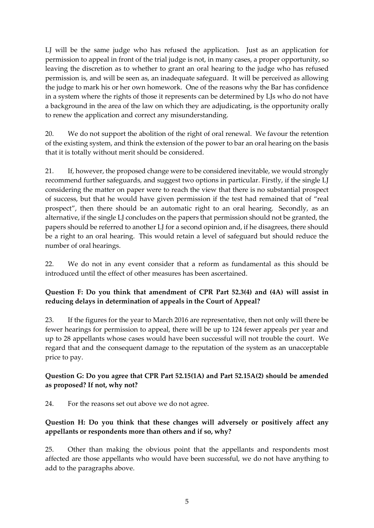LJ will be the same judge who has refused the application. Just as an application for permission to appeal in front of the trial judge is not, in many cases, a proper opportunity, so leaving the discretion as to whether to grant an oral hearing to the judge who has refused permission is, and will be seen as, an inadequate safeguard. It will be perceived as allowing the judge to mark his or her own homework. One of the reasons why the Bar has confidence in a system where the rights of those it represents can be determined by LJs who do not have a background in the area of the law on which they are adjudicating, is the opportunity orally to renew the application and correct any misunderstanding.

20. We do not support the abolition of the right of oral renewal. We favour the retention of the existing system, and think the extension of the power to bar an oral hearing on the basis that it is totally without merit should be considered.

21. If, however, the proposed change were to be considered inevitable, we would strongly recommend further safeguards, and suggest two options in particular. Firstly, if the single LJ considering the matter on paper were to reach the view that there is no substantial prospect of success, but that he would have given permission if the test had remained that of "real prospect", then there should be an automatic right to an oral hearing. Secondly, as an alternative, if the single LJ concludes on the papers that permission should not be granted, the papers should be referred to another LJ for a second opinion and, if he disagrees, there should be a right to an oral hearing. This would retain a level of safeguard but should reduce the number of oral hearings.

22. We do not in any event consider that a reform as fundamental as this should be introduced until the effect of other measures has been ascertained.

# **Question F: Do you think that amendment of CPR Part 52.3(4) and (4A) will assist in reducing delays in determination of appeals in the Court of Appeal?**

23. If the figures for the year to March 2016 are representative, then not only will there be fewer hearings for permission to appeal, there will be up to 124 fewer appeals per year and up to 28 appellants whose cases would have been successful will not trouble the court. We regard that and the consequent damage to the reputation of the system as an unacceptable price to pay.

# **Question G: Do you agree that CPR Part 52.15(1A) and Part 52.15A(2) should be amended as proposed? If not, why not?**

24. For the reasons set out above we do not agree.

# **Question H: Do you think that these changes will adversely or positively affect any appellants or respondents more than others and if so, why?**

25. Other than making the obvious point that the appellants and respondents most affected are those appellants who would have been successful, we do not have anything to add to the paragraphs above.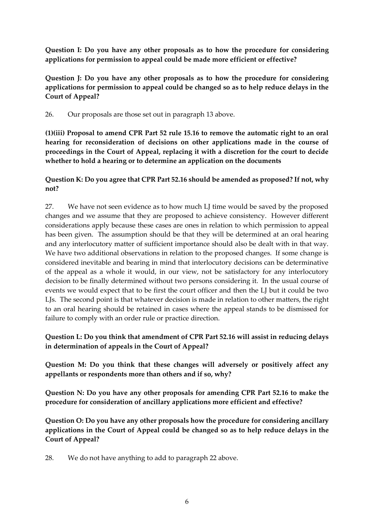**Question I: Do you have any other proposals as to how the procedure for considering applications for permission to appeal could be made more efficient or effective?**

**Question J: Do you have any other proposals as to how the procedure for considering applications for permission to appeal could be changed so as to help reduce delays in the Court of Appeal?**

26. Our proposals are those set out in paragraph 13 above.

**(1)(iii) Proposal to amend CPR Part 52 rule 15.16 to remove the automatic right to an oral hearing for reconsideration of decisions on other applications made in the course of proceedings in the Court of Appeal, replacing it with a discretion for the court to decide whether to hold a hearing or to determine an application on the documents**

#### **Question K: Do you agree that CPR Part 52.16 should be amended as proposed? If not, why not?**

27. We have not seen evidence as to how much LJ time would be saved by the proposed changes and we assume that they are proposed to achieve consistency. However different considerations apply because these cases are ones in relation to which permission to appeal has been given. The assumption should be that they will be determined at an oral hearing and any interlocutory matter of sufficient importance should also be dealt with in that way. We have two additional observations in relation to the proposed changes. If some change is considered inevitable and bearing in mind that interlocutory decisions can be determinative of the appeal as a whole it would, in our view, not be satisfactory for any interlocutory decision to be finally determined without two persons considering it. In the usual course of events we would expect that to be first the court officer and then the LJ but it could be two LJs. The second point is that whatever decision is made in relation to other matters, the right to an oral hearing should be retained in cases where the appeal stands to be dismissed for failure to comply with an order rule or practice direction.

#### **Question L: Do you think that amendment of CPR Part 52.16 will assist in reducing delays in determination of appeals in the Court of Appeal?**

**Question M: Do you think that these changes will adversely or positively affect any appellants or respondents more than others and if so, why?**

**Question N: Do you have any other proposals for amending CPR Part 52.16 to make the procedure for consideration of ancillary applications more efficient and effective?**

**Question O: Do you have any other proposals how the procedure for considering ancillary applications in the Court of Appeal could be changed so as to help reduce delays in the Court of Appeal?**

28. We do not have anything to add to paragraph 22 above.